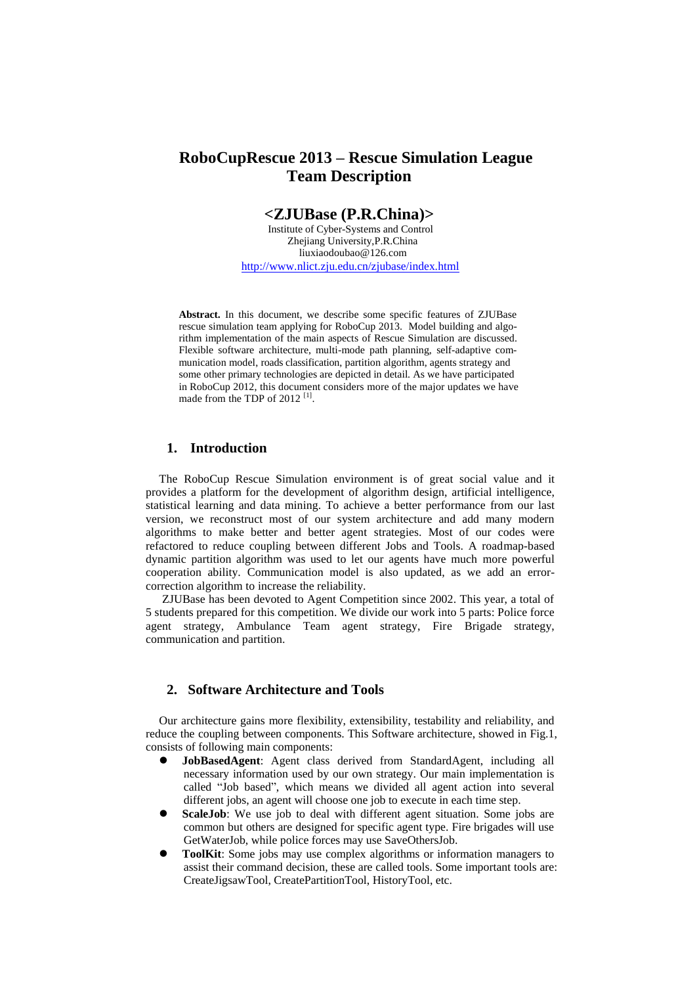# **RoboCupRescue 2013 – Rescue Simulation League Team Description**

## **<ZJUBase (P.R.China)>**

 Institute of Cyber-Systems and Control Zhejiang University,P.R.China liuxiaodoubao@126.com <http://www.nlict.zju.edu.cn/zjubase/index.html>

**Abstract.** In this document, we describe some specific features of ZJUBase rescue simulation team applying for RoboCup 2013. Model building and algorithm implementation of the main aspects of Rescue Simulation are discussed. Flexible software architecture, multi-mode path planning, self-adaptive communication model, roads classification, partition algorithm, agents strategy and some other primary technologies are depicted in detail. As we have participated in RoboCup 2012, this document considers more of the major updates we have made from the TDP of 2012<sup>[1]</sup>.

## **1. Introduction**

The RoboCup Rescue Simulation environment is of great social value and it provides a platform for the development of algorithm design, artificial intelligence, statistical learning and data mining. To achieve a better performance from our last version, we reconstruct most of our system architecture and add many modern algorithms to make better and better agent strategies. Most of our codes were refactored to reduce coupling between different Jobs and Tools. A roadmap-based dynamic partition algorithm was used to let our agents have much more powerful cooperation ability. Communication model is also updated, as we add an errorcorrection algorithm to increase the reliability.

ZJUBase has been devoted to Agent Competition since 2002. This year, a total of 5 students prepared for this competition. We divide our work into 5 parts: Police force agent strategy, Ambulance Team agent strategy, Fire Brigade strategy, communication and partition.

## **2. Software Architecture and Tools**

Our architecture gains more flexibility, extensibility, testability and reliability, and reduce the coupling between components. This Software architecture, showed in Fig.1, consists of following main components:

- **JobBasedAgent**: Agent class derived from StandardAgent, including all necessary information used by our own strategy. Our main implementation is called "Job based", which means we divided all agent action into several different jobs, an agent will choose one job to execute in each time step.
- **ScaleJob**: We use job to deal with different agent situation. Some jobs are common but others are designed for specific agent type. Fire brigades will use GetWaterJob, while police forces may use SaveOthersJob.
- **ToolKit:** Some jobs may use complex algorithms or information managers to assist their command decision, these are called tools. Some important tools are: CreateJigsawTool, CreatePartitionTool, HistoryTool, etc.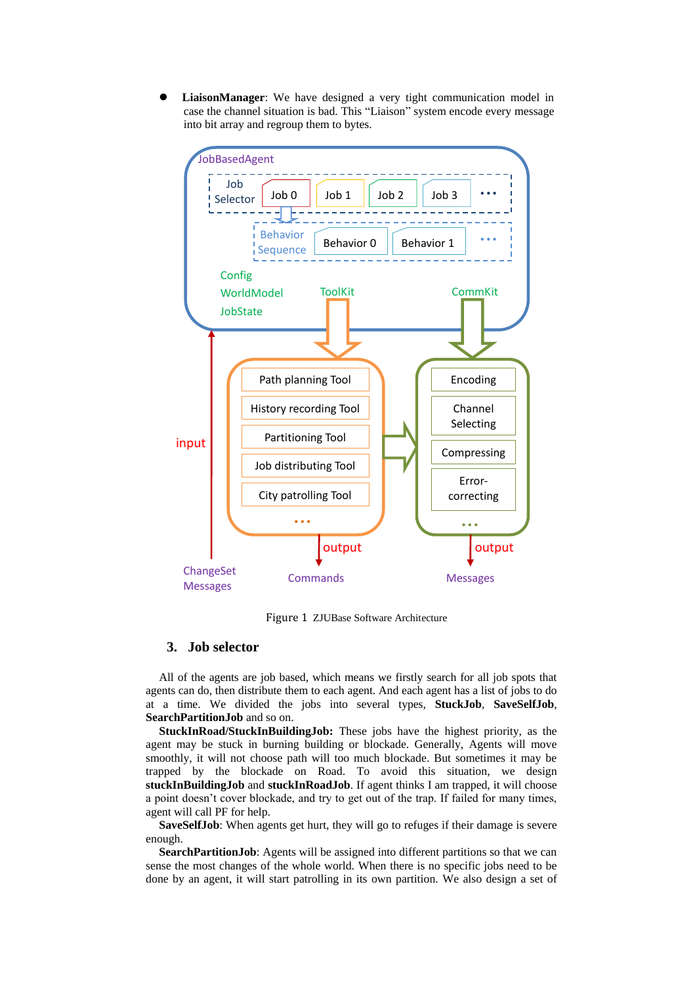**LiaisonManager**: We have designed a very tight communication model in case the channel situation is bad. This "Liaison" system encode every message into bit array and regroup them to bytes.



Figure 1 ZJUBase Software Architecture

### **3. Job selector**

All of the agents are job based, which means we firstly search for all job spots that agents can do, then distribute them to each agent. And each agent has a list of jobs to do at a time. We divided the jobs into several types, **StuckJob**, **SaveSelfJob**, **SearchPartitionJob** and so on.

**StuckInRoad/StuckInBuildingJob:** These jobs have the highest priority, as the agent may be stuck in burning building or blockade. Generally, Agents will move smoothly, it will not choose path will too much blockade. But sometimes it may be trapped by the blockade on Road. To avoid this situation, we design **stuckInBuildingJob** and **stuckInRoadJob**. If agent thinks I am trapped, it will choose a point doesn't cover blockade, and try to get out of the trap. If failed for many times, agent will call PF for help.

**SaveSelfJob**: When agents get hurt, they will go to refuges if their damage is severe enough.

**SearchPartitionJob:** Agents will be assigned into different partitions so that we can sense the most changes of the whole world. When there is no specific jobs need to be done by an agent, it will start patrolling in its own partition. We also design a set of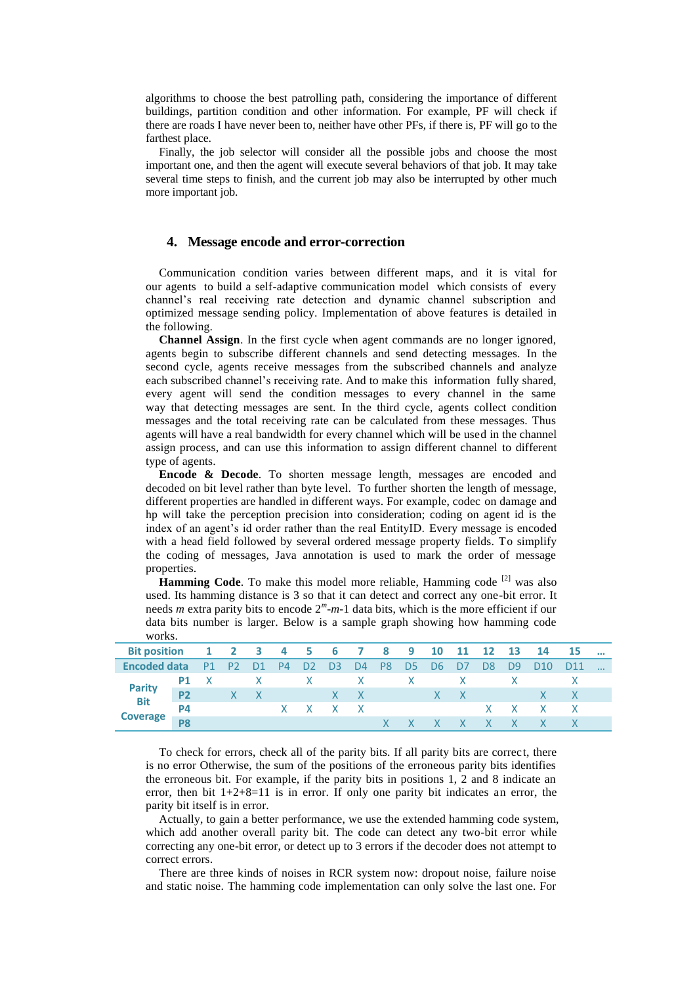algorithms to choose the best patrolling path, considering the importance of different buildings, partition condition and other information. For example, PF will check if there are roads I have never been to, neither have other PFs, if there is, PF will go to the farthest place.

Finally, the job selector will consider all the possible jobs and choose the most important one, and then the agent will execute several behaviors of that job. It may take several time steps to finish, and the current job may also be interrupted by other much more important job.

#### **4. Message encode and error-correction**

Communication condition varies between different maps, and it is vital for our agents to build a self-adaptive communication model which consists of every channel's real receiving rate detection and dynamic channel subscription and optimized message sending policy. Implementation of above features is detailed in the following.

**Channel Assign**. In the first cycle when agent commands are no longer ignored, agents begin to subscribe different channels and send detecting messages. In the second cycle, agents receive messages from the subscribed channels and analyze each subscribed channel's receiving rate. And to make this information fully shared, every agent will send the condition messages to every channel in the same way that detecting messages are sent. In the third cycle, agents collect condition messages and the total receiving rate can be calculated from these messages. Thus agents will have a real bandwidth for every channel which will be used in the channel assign process, and can use this information to assign different channel to different type of agents.

**Encode & Decode.** To shorten message length, messages are encoded and decoded on bit level rather than byte level. To further shorten the length of message, different properties are handled in different ways. For example, codec on damage and hp will take the perception precision into consideration; coding on agent id is the index of an agent's id order rather than the real EntityID. Every message is encoded with a head field followed by several ordered message property fields. To simplify the coding of messages, Java annotation is used to mark the order of message properties.

Hamming Code. To make this model more reliable, Hamming code<sup>[2]</sup> was also used. Its hamming distance is 3 so that it can detect and correct any one-bit error. It needs *m* extra parity bits to encode 2*<sup>m</sup>* -*m*-1 data bits, which is the more efficient if our data bits number is larger. Below is a sample graph showing how hamming code works.

| <b>Bit position</b>              |           |  |          |             |                                |  | 1 2 3 4 5 6 7 8 9 10 11 12 13 |       |           |    | $\overline{14}$ | -15             |  |
|----------------------------------|-----------|--|----------|-------------|--------------------------------|--|-------------------------------|-------|-----------|----|-----------------|-----------------|--|
| Encoded data                     |           |  | P1 P2 D1 | $\angle$ P4 |                                |  | D2 D3 D4 P8 D5 D6 D7          |       | <b>D8</b> | D9 | D <sub>10</sub> | D <sub>11</sub> |  |
| Parity<br>Bit<br><b>Coverage</b> |           |  |          |             |                                |  | P1 X X X X X X X              |       |           |    |                 |                 |  |
|                                  | <b>P2</b> |  | $X$ $X$  |             | $\mathsf{X} \times \mathsf{X}$ |  |                               | $X$ X |           |    | $\mathsf{X}$    |                 |  |
|                                  | P4        |  |          |             | $X$ $X$ $X$ $X$                |  |                               |       |           |    | $X$ $X$ $X$ $X$ |                 |  |
|                                  |           |  |          |             |                                |  |                               | XXX   |           |    |                 |                 |  |

To check for errors, check all of the parity bits. If all parity bits are correct, there is no error Otherwise, the sum of the positions of the erroneous parity bits identifies the erroneous bit. For example, if the parity bits in positions 1, 2 and 8 indicate an error, then bit 1+2+8=11 is in error. If only one parity bit indicates an error, the parity bit itself is in error.

Actually, to gain a better performance, we use the extended hamming code system, which add another overall parity bit. The code can detect any two-bit error while correcting any one-bit error, or detect up to 3 errors if the decoder does not attempt to correct errors.

There are three kinds of noises in RCR system now: dropout noise, failure noise and static noise. The hamming code implementation can only solve the last one. For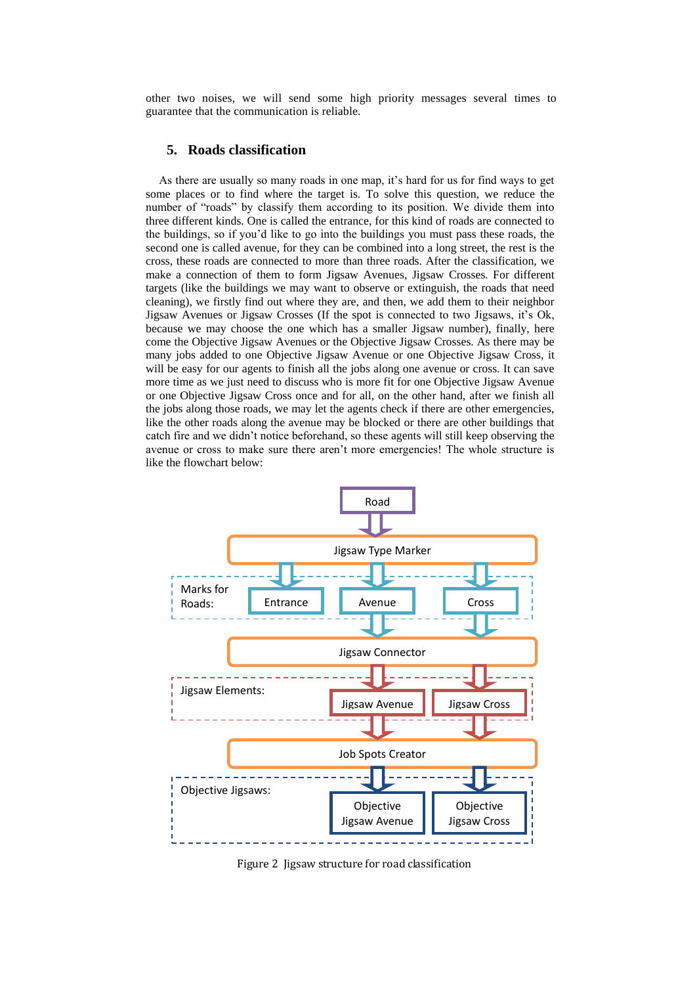other two noises, we will send some high priority messages several times to guarantee that the communication is reliable.

### **5. Roads classification**

As there are usually so many roads in one map, it's hard for us for find ways to get some places or to find where the target is. To solve this question, we reduce the number of "roads" by classify them according to its position. We divide them into three different kinds. One is called the entrance, for this kind of roads are connected to the buildings, so if you'd like to go into the buildings you must pass these roads, the second one is called avenue, for they can be combined into a long street, the rest is the cross, these roads are connected to more than three roads. After the classification, we make a connection of them to form Jigsaw Avenues, Jigsaw Crosses. For different targets (like the buildings we may want to observe or extinguish, the roads that need cleaning), we firstly find out where they are, and then, we add them to their neighbor Jigsaw Avenues or Jigsaw Crosses (If the spot is connected to two Jigsaws, it's Ok, because we may choose the one which has a smaller Jigsaw number), finally, here come the Objective Jigsaw Avenues or the Objective Jigsaw Crosses. As there may be many jobs added to one Objective Jigsaw Avenue or one Objective Jigsaw Cross, it will be easy for our agents to finish all the jobs along one avenue or cross. It can save more time as we just need to discuss who is more fit for one Objective Jigsaw Avenue or one Objective Jigsaw Cross once and for all, on the other hand, after we finish all the jobs along those roads, we may let the agents check if there are other emergencies, like the other roads along the avenue may be blocked or there are other buildings that catch fire and we didn't notice beforehand, so these agents will still keep observing the avenue or cross to make sure there aren't more emergencies! The whole structure is like the flowchart below:



Figure 2 Jigsaw structure for road classification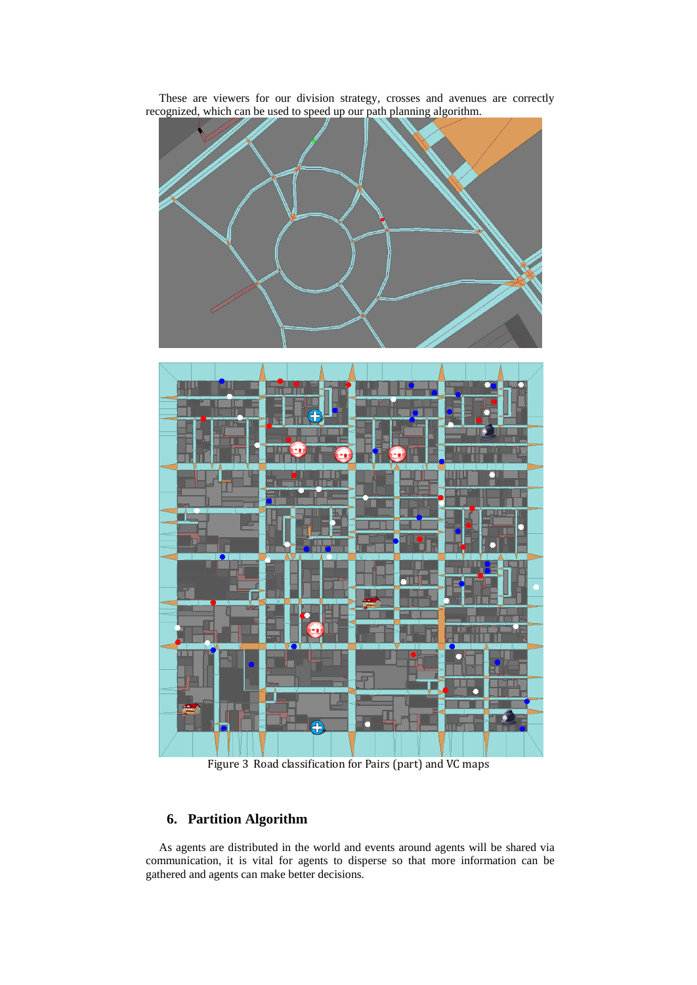

These are viewers for our division strategy, crosses and avenues are correctly recognized, which can be used to speed up our path planning algorithm.

Figure 3 Road classification for Pairs (part) and VC maps

# **6. Partition Algorithm**

As agents are distributed in the world and events around agents will be shared via communication, it is vital for agents to disperse so that more information can be gathered and agents can make better decisions.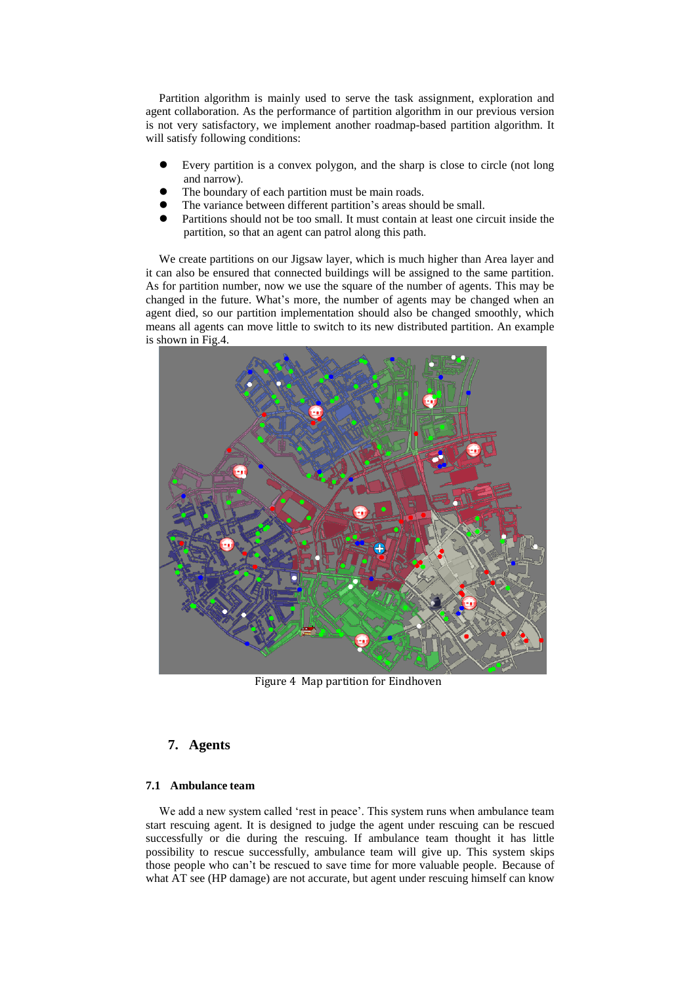Partition algorithm is mainly used to serve the task assignment, exploration and agent collaboration. As the performance of partition algorithm in our previous version is not very satisfactory, we implement another roadmap-based partition algorithm. It will satisfy following conditions:

- Every partition is a convex polygon, and the sharp is close to circle (not long and narrow).
- The boundary of each partition must be main roads.
- The variance between different partition's areas should be small.
- Partitions should not be too small. It must contain at least one circuit inside the partition, so that an agent can patrol along this path.

We create partitions on our Jigsaw layer, which is much higher than Area layer and it can also be ensured that connected buildings will be assigned to the same partition. As for partition number, now we use the square of the number of agents. This may be changed in the future. What's more, the number of agents may be changed when an agent died, so our partition implementation should also be changed smoothly, which means all agents can move little to switch to its new distributed partition. An example is shown in Fig.4.



Figure 4 Map partition for Eindhoven

### **7. Agents**

### **7.1 Ambulance team**

We add a new system called 'rest in peace'. This system runs when ambulance team start rescuing agent. It is designed to judge the agent under rescuing can be rescued successfully or die during the rescuing. If ambulance team thought it has little possibility to rescue successfully, ambulance team will give up. This system skips those people who can't be rescued to save time for more valuable people. Because of what AT see (HP damage) are not accurate, but agent under rescuing himself can know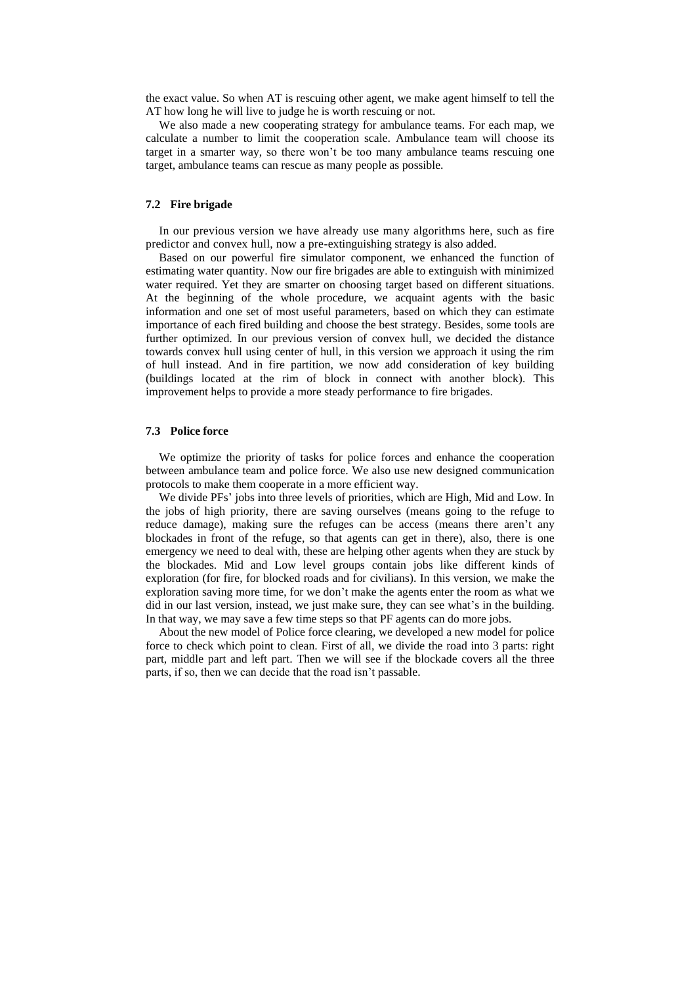the exact value. So when AT is rescuing other agent, we make agent himself to tell the AT how long he will live to judge he is worth rescuing or not.

We also made a new cooperating strategy for ambulance teams. For each map, we calculate a number to limit the cooperation scale. Ambulance team will choose its target in a smarter way, so there won't be too many ambulance teams rescuing one target, ambulance teams can rescue as many people as possible.

### **7.2 Fire brigade**

In our previous version we have already use many algorithms here, such as fire predictor and convex hull, now a pre-extinguishing strategy is also added.

Based on our powerful fire simulator component, we enhanced the function of estimating water quantity. Now our fire brigades are able to extinguish with minimized water required. Yet they are smarter on choosing target based on different situations. At the beginning of the whole procedure, we acquaint agents with the basic information and one set of most useful parameters, based on which they can estimate importance of each fired building and choose the best strategy. Besides, some tools are further optimized. In our previous version of convex hull, we decided the distance towards convex hull using center of hull, in this version we approach it using the rim of hull instead. And in fire partition, we now add consideration of key building (buildings located at the rim of block in connect with another block). This improvement helps to provide a more steady performance to fire brigades.

#### **7.3 Police force**

We optimize the priority of tasks for police forces and enhance the cooperation between ambulance team and police force. We also use new designed communication protocols to make them cooperate in a more efficient way.

We divide PFs' jobs into three levels of priorities, which are High, Mid and Low. In the jobs of high priority, there are saving ourselves (means going to the refuge to reduce damage), making sure the refuges can be access (means there aren't any blockades in front of the refuge, so that agents can get in there), also, there is one emergency we need to deal with, these are helping other agents when they are stuck by the blockades. Mid and Low level groups contain jobs like different kinds of exploration (for fire, for blocked roads and for civilians). In this version, we make the exploration saving more time, for we don't make the agents enter the room as what we did in our last version, instead, we just make sure, they can see what's in the building. In that way, we may save a few time steps so that PF agents can do more jobs.

About the new model of Police force clearing, we developed a new model for police force to check which point to clean. First of all, we divide the road into 3 parts: right part, middle part and left part. Then we will see if the blockade covers all the three parts, if so, then we can decide that the road isn't passable.